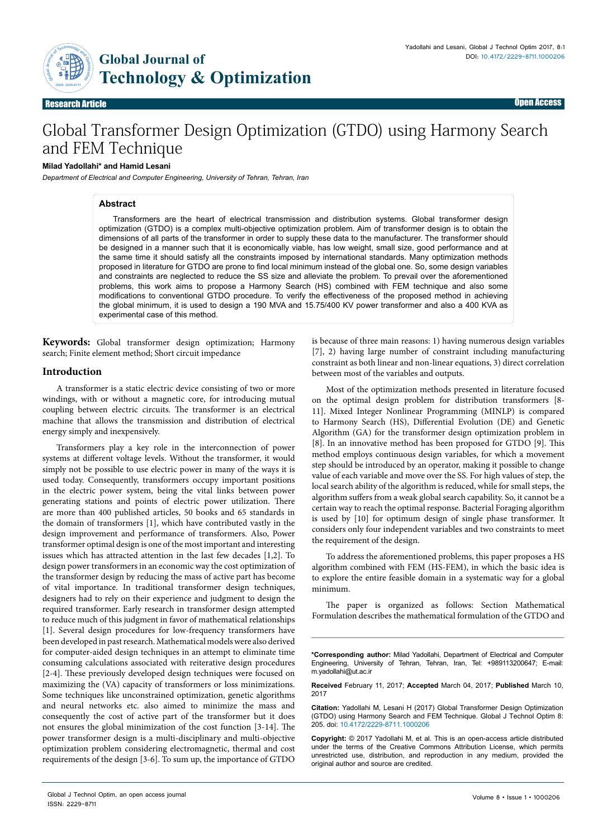

Research Article

# Global Transformer Design Optimization (GTDO) using Harmony Search and FEM Technique

### **Milad Yadollahi\* and Hamid Lesani**

*Department of Electrical and Computer Engineering, University of Tehran, Tehran, Iran*

### **Abstract**

Transformers are the heart of electrical transmission and distribution systems. Global transformer design optimization (GTDO) is a complex multi-objective optimization problem. Aim of transformer design is to obtain the dimensions of all parts of the transformer in order to supply these data to the manufacturer. The transformer should be designed in a manner such that it is economically viable, has low weight, small size, good performance and at the same time it should satisfy all the constraints imposed by international standards. Many optimization methods proposed in literature for GTDO are prone to find local minimum instead of the global one. So, some design variables and constraints are neglected to reduce the SS size and alleviate the problem. To prevail over the aforementioned problems, this work aims to propose a Harmony Search (HS) combined with FEM technique and also some modifications to conventional GTDO procedure. To verify the effectiveness of the proposed method in achieving the global minimum, it is used to design a 190 MVA and 15.75/400 KV power transformer and also a 400 KVA as experimental case of this method.

**Keywords:** Global transformer design optimization; Harmony search; Finite element method; Short circuit impedance

### **Introduction**

A transformer is a static electric device consisting of two or more windings, with or without a magnetic core, for introducing mutual coupling between electric circuits. The transformer is an electrical machine that allows the transmission and distribution of electrical energy simply and inexpensively.

Transformers play a key role in the interconnection of power systems at different voltage levels. Without the transformer, it would simply not be possible to use electric power in many of the ways it is used today. Consequently, transformers occupy important positions in the electric power system, being the vital links between power generating stations and points of electric power utilization. There are more than 400 published articles, 50 books and 65 standards in the domain of transformers [1], which have contributed vastly in the design improvement and performance of transformers. Also, Power transformer optimal design is one of the most important and interesting issues which has attracted attention in the last few decades [1,2]. To design power transformers in an economic way the cost optimization of the transformer design by reducing the mass of active part has become of vital importance. In traditional transformer design techniques, designers had to rely on their experience and judgment to design the required transformer. Early research in transformer design attempted to reduce much of this judgment in favor of mathematical relationships [1]. Several design procedures for low-frequency transformers have been developed in past research. Mathematical models were also derived for computer-aided design techniques in an attempt to eliminate time consuming calculations associated with reiterative design procedures [2-4]. These previously developed design techniques were focused on maximizing the (VA) capacity of transformers or loss minimizations. Some techniques like unconstrained optimization, genetic algorithms and neural networks etc. also aimed to minimize the mass and consequently the cost of active part of the transformer but it does not ensures the global minimization of the cost function [3-14]. The power transformer design is a multi-disciplinary and multi-objective optimization problem considering electromagnetic, thermal and cost requirements of the design [3-6]. To sum up, the importance of GTDO

is because of three main reasons: 1) having numerous design variables [7], 2) having large number of constraint including manufacturing constraint as both linear and non-linear equations, 3) direct correlation between most of the variables and outputs.

Most of the optimization methods presented in literature focused on the optimal design problem for distribution transformers [8- 11]. Mixed Integer Nonlinear Programming (MINLP) is compared to Harmony Search (HS), Differential Evolution (DE) and Genetic Algorithm (GA) for the transformer design optimization problem in [8]. In an innovative method has been proposed for GTDO [9]. This method employs continuous design variables, for which a movement step should be introduced by an operator, making it possible to change value of each variable and move over the SS. For high values of step, the local search ability of the algorithm is reduced, while for small steps, the algorithm suffers from a weak global search capability. So, it cannot be a certain way to reach the optimal response. Bacterial Foraging algorithm is used by [10] for optimum design of single phase transformer. It considers only four independent variables and two constraints to meet the requirement of the design.

To address the aforementioned problems, this paper proposes a HS algorithm combined with FEM (HS-FEM), in which the basic idea is to explore the entire feasible domain in a systematic way for a global minimum.

The paper is organized as follows: Section Mathematical Formulation describes the mathematical formulation of the GTDO and

**\*Corresponding author:** Milad Yadollahi, Department of Electrical and Computer Engineering, University of Tehran, Tehran, Iran, Tel: +989113200647; E-mail: m.yadollahi@ut.ac.ir

**Received** February 11, 2017; **Accepted** March 04, 2017; **Published** March 10, 2017

**Citation:** Yadollahi M, Lesani H (2017) Global Transformer Design Optimization (GTDO) using Harmony Search and FEM Technique. Global J Technol Optim 8: 205. doi: 10.4172/2229-8711.1000206

**Copyright:** © 2017 Yadollahi M, et al. This is an open-access article distributed under the terms of the Creative Commons Attribution License, which permits unrestricted use, distribution, and reproduction in any medium, provided the original author and source are credited.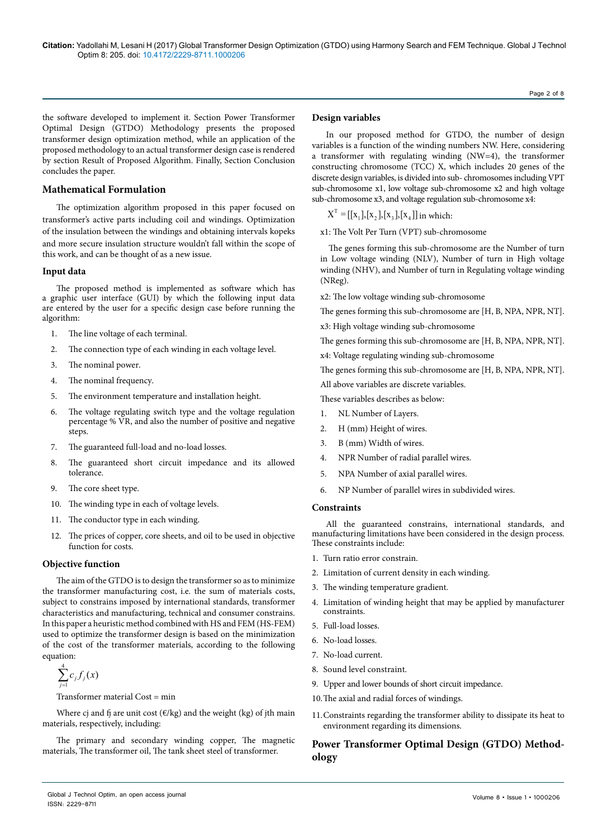Page 2 of 8

the software developed to implement it. Section Power Transformer Optimal Design (GTDO) Methodology presents the proposed transformer design optimization method, while an application of the proposed methodology to an actual transformer design case is rendered by section Result of Proposed Algorithm. Finally, Section Conclusion concludes the paper.

# **Mathematical Formulation**

The optimization algorithm proposed in this paper focused on transformer's active parts including coil and windings. Optimization of the insulation between the windings and obtaining intervals kopeks and more secure insulation structure wouldn't fall within the scope of this work, and can be thought of as a new issue.

# **Input data**

The proposed method is implemented as software which has a graphic user interface (GUI) by which the following input data are entered by the user for a specific design case before running the algorithm:

- 1. The line voltage of each terminal.
- 2. The connection type of each winding in each voltage level.
- 3. The nominal power.
- 4. The nominal frequency.
- 5. The environment temperature and installation height.
- 6. The voltage regulating switch type and the voltage regulation percentage % VR, and also the number of positive and negative steps.
- 7. The guaranteed full-load and no-load losses.
- 8. The guaranteed short circuit impedance and its allowed tolerance.
- 9. The core sheet type.
- 10. The winding type in each of voltage levels.
- 11. The conductor type in each winding.
- 12. The prices of copper, core sheets, and oil to be used in objective function for costs.

# **Objective function**

The aim of the GTDO is to design the transformer so as to minimize the transformer manufacturing cost, i.e. the sum of materials costs, subject to constrains imposed by international standards, transformer characteristics and manufacturing, technical and consumer constrains. In this paper a heuristic method combined with HS and FEM (HS-FEM) used to optimize the transformer design is based on the minimization of the cost of the transformer materials, according to the following equation:

$$
\sum_{j=1}^4 c_j f_j(x)
$$

Transformer material Cost = min

Where cj and fj are unit cost ( $\varepsilon$ /kg) and the weight (kg) of jth main materials, respectively, including:

The primary and secondary winding copper, The magnetic materials, The transformer oil, The tank sheet steel of transformer.

## **Design variables**

In our proposed method for GTDO, the number of design variables is a function of the winding numbers NW. Here, considering a transformer with regulating winding (NW=4), the transformer constructing chromosome (TCC) X, which includes 20 genes of the discrete design variables, is divided into sub- chromosomes including VPT sub-chromosome x1, low voltage sub-chromosome x2 and high voltage sub-chromosome x3, and voltage regulation sub-chromosome x4:

 $X^T = [[x_1], [x_2], [x_3], [x_4]]$  in which:

x1: The Volt Per Turn (VPT) sub-chromosome

The genes forming this sub-chromosome are the Number of turn in Low voltage winding (NLV), Number of turn in High voltage winding (NHV), and Number of turn in Regulating voltage winding (NReg).

x2: The low voltage winding sub-chromosome

The genes forming this sub-chromosome are [H, B, NPA, NPR, NT].

x3: High voltage winding sub-chromosome

The genes forming this sub-chromosome are [H, B, NPA, NPR, NT].

x4: Voltage regulating winding sub-chromosome

The genes forming this sub-chromosome are [H, B, NPA, NPR, NT].

All above variables are discrete variables.

- These variables describes as below:
- 1. NL Number of Layers.
- 2. H (mm) Height of wires.
- 3. B (mm) Width of wires.
- 4. NPR Number of radial parallel wires.
- 5. NPA Number of axial parallel wires.
- 6. NP Number of parallel wires in subdivided wires.

## **Constraints**

All the guaranteed constrains, international standards, and manufacturing limitations have been considered in the design process. These constraints include:

- 1. Turn ratio error constrain.
- 2. Limitation of current density in each winding.
- 3. The winding temperature gradient.
- 4. Limitation of winding height that may be applied by manufacturer constraints.
- 5. Full-load losses.
- 6. No-load losses.
- 7. No-load current.
- 8. Sound level constraint.
- 9. Upper and lower bounds of short circuit impedance.
- 10.The axial and radial forces of windings.
- 11.Constraints regarding the transformer ability to dissipate its heat to environment regarding its dimensions.

# **Power Transformer Optimal Design (GTDO) Methodology**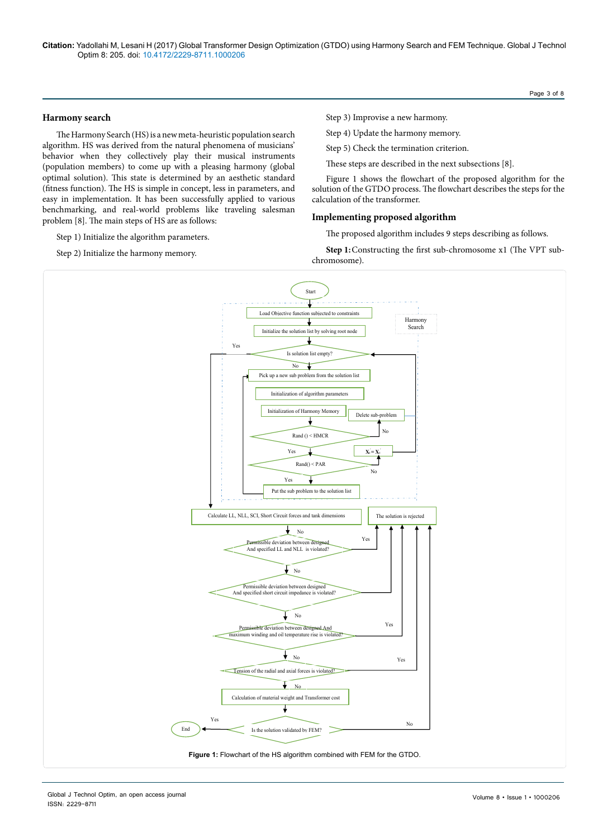### **Harmony search**

The Harmony Search (HS) is a new meta-heuristic population search algorithm. HS was derived from the natural phenomena of musicians' behavior when they collectively play their musical instruments (population members) to come up with a pleasing harmony (global optimal solution). This state is determined by an aesthetic standard (fitness function). The HS is simple in concept, less in parameters, and easy in implementation. It has been successfully applied to various benchmarking, and real-world problems like traveling salesman problem [8]. The main steps of HS are as follows:

Step 1) Initialize the algorithm parameters.

Step 2) Initialize the harmony memory.

Step 3) Improvise a new harmony.

Step 4) Update the harmony memory.

Step 5) Check the termination criterion.

These steps are described in the next subsections [8].

Figure 1 shows the flowchart of the proposed algorithm for the solution of the GTDO process. The flowchart describes the steps for the calculation of the transformer.

#### **Implementing proposed algorithm**

The proposed algorithm includes 9 steps describing as follows.

**Step 1:** Constructing the first sub-chromosome x1 (The VPT subchromosome).

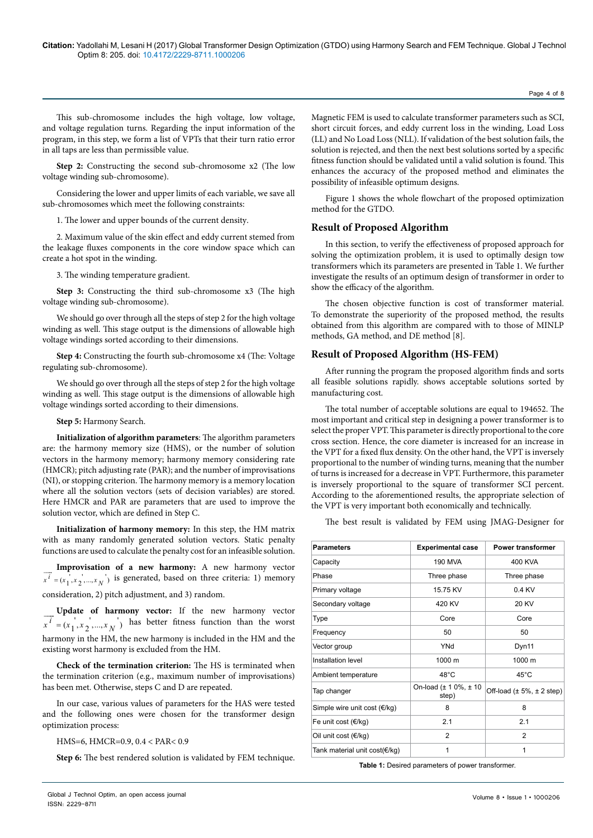Page 4 of 8

This sub-chromosome includes the high voltage, low voltage, and voltage regulation turns. Regarding the input information of the program, in this step, we form a list of VPTs that their turn ratio error in all taps are less than permissible value.

**Step 2:** Constructing the second sub-chromosome x2 (The low voltage winding sub-chromosome).

Considering the lower and upper limits of each variable, we save all sub-chromosomes which meet the following constraints:

1. The lower and upper bounds of the current density.

2. Maximum value of the skin effect and eddy current stemed from the leakage fluxes components in the core window space which can create a hot spot in the winding.

3. The winding temperature gradient.

**Step 3:** Constructing the third sub-chromosome x3 (The high voltage winding sub-chromosome).

We should go over through all the steps of step 2 for the high voltage winding as well. This stage output is the dimensions of allowable high voltage windings sorted according to their dimensions.

**Step 4:** Constructing the fourth sub-chromosome x4 (The: Voltage regulating sub-chromosome).

We should go over through all the steps of step 2 for the high voltage winding as well. This stage output is the dimensions of allowable high voltage windings sorted according to their dimensions.

Step 5: Harmony Search.

**Initialization of algorithm parameters**: The algorithm parameters are: the harmony memory size (HMS), or the number of solution vectors in the harmony memory; harmony memory considering rate (HMCR); pitch adjusting rate (PAR); and the number of improvisations (NI), or stopping criterion. The harmony memory is a memory location where all the solution vectors (sets of decision variables) are stored. Here HMCR and PAR are parameters that are used to improve the solution vector, which are defined in Step C.

**Initialization of harmony memory:** In this step, the HM matrix with as many randomly generated solution vectors. Static penalty functions are used to calculate the penalty cost for an infeasible solution.

**Improvisation of a new harmony:** A new harmony vector  $\overline{x^i} = (x_1, x_2, ..., x_N)$  is generated, based on three criteria: 1) memory

consideration, 2) pitch adjustment, and 3) random.

**Update of harmony vector:** If the new harmony vector **Update of harmony vector:** If the new harmony vector<br> $\overline{x}^i = (x_1^{'}, x_2^{'}, ..., x_N^{'})$  has better fitness function than the worst

harmony in the HM, the new harmony is included in the HM and the existing worst harmony is excluded from the HM.

**Check of the termination criterion:** The HS is terminated when the termination criterion (e.g., maximum number of improvisations) has been met. Otherwise, steps C and D are repeated.

In our case, various values of parameters for the HAS were tested and the following ones were chosen for the transformer design optimization process:

HMS=6, HMCR=0.9, 0.4 < PAR< 0.9

**Step 6:** The best rendered solution is validated by FEM technique.

Magnetic FEM is used to calculate transformer parameters such as SCI, short circuit forces, and eddy current loss in the winding, Load Loss (LL) and No Load Loss (NLL). If validation of the best solution fails, the solution is rejected, and then the next best solutions sorted by a specific fitness function should be validated until a valid solution is found. This enhances the accuracy of the proposed method and eliminates the possibility of infeasible optimum designs.

Figure 1 shows the whole flowchart of the proposed optimization method for the GTDO.

# **Result of Proposed Algorithm**

In this section, to verify the effectiveness of proposed approach for solving the optimization problem, it is used to optimally design tow transformers which its parameters are presented in Table 1. We further investigate the results of an optimum design of transformer in order to show the efficacy of the algorithm.

The chosen objective function is cost of transformer material. To demonstrate the superiority of the proposed method, the results obtained from this algorithm are compared with to those of MINLP methods, GA method, and DE method [8].

# **Result of Proposed Algorithm (HS-FEM)**

After running the program the proposed algorithm finds and sorts all feasible solutions rapidly. shows acceptable solutions sorted by manufacturing cost.

The total number of acceptable solutions are equal to 194652. The most important and critical step in designing a power transformer is to select the proper VPT. This parameter is directly proportional to the core cross section. Hence, the core diameter is increased for an increase in the VPT for a fixed flux density. On the other hand, the VPT is inversely proportional to the number of winding turns, meaning that the number of turns is increased for a decrease in VPT. Furthermore, this parameter is inversely proportional to the square of transformer SCI percent. According to the aforementioned results, the appropriate selection of the VPT is very important both economically and technically.

The best result is validated by FEM using JMAG-Designer for

| <b>Parameters</b>                   | <b>Experimental case</b>               | <b>Power transformer</b>                 |
|-------------------------------------|----------------------------------------|------------------------------------------|
| Capacity                            | <b>190 MVA</b>                         | 400 KVA                                  |
| Phase                               | Three phase                            | Three phase                              |
| Primary voltage                     | 15.75 KV                               | $0.4$ KV                                 |
| Secondary voltage                   | 420 KV                                 | <b>20 KV</b>                             |
| Type                                | Core                                   | Core                                     |
| Frequency                           | 50                                     | 50                                       |
| Vector group                        | YNd                                    | Dyn11                                    |
| Installation level                  | 1000 m                                 | 1000 m                                   |
| Ambient temperature                 | $48^{\circ}$ C                         | $45^{\circ}$ C                           |
| Tap changer                         | On-load $(\pm 10\% , \pm 10)$<br>step) | Off-load $(\pm 5\%, \pm 2 \text{ step})$ |
| Simple wire unit cost (€/kg)        | 8                                      | 8                                        |
| Fe unit cost $(\epsilon/kg)$        | 2.1                                    | 2.1                                      |
| Oil unit cost $(\epsilon/kg)$       | $\overline{2}$                         | $\overline{2}$                           |
| Tank material unit cost( $\in$ /kg) | 1                                      | 1                                        |

**Table 1:** Desired parameters of power transformer.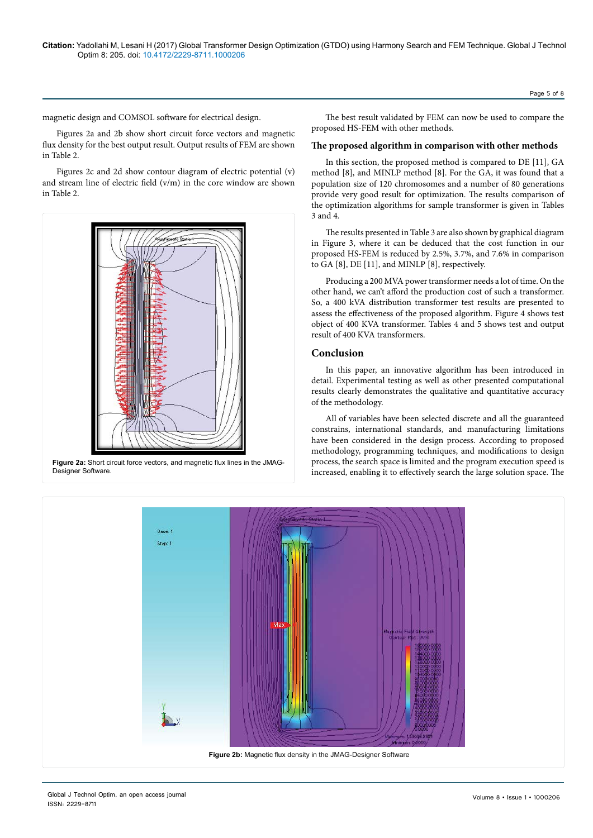magnetic design and COMSOL software for electrical design.

Figures 2a and 2b show short circuit force vectors and magnetic flux density for the best output result. Output results of FEM are shown in Table 2.

Figures 2c and 2d show contour diagram of electric potential (v) and stream line of electric field (v/m) in the core window are shown in Table 2.



**Figure 2a:** Short circuit force vectors, and magnetic flux lines in the JMAG-Designer Software.

The best result validated by FEM can now be used to compare the proposed HS-FEM with other methods.

### **The proposed algorithm in comparison with other methods**

In this section, the proposed method is compared to DE [11], GA method [8], and MINLP method [8]. For the GA, it was found that a population size of 120 chromosomes and a number of 80 generations provide very good result for optimization. The results comparison of the optimization algorithms for sample transformer is given in Tables 3 and 4.

The results presented in Table 3 are also shown by graphical diagram in Figure 3, where it can be deduced that the cost function in our proposed HS-FEM is reduced by 2.5%, 3.7%, and 7.6% in comparison to GA [8], DE [11], and MINLP [8], respectively.

Producing a 200 MVA power transformer needs a lot of time. On the other hand, we can't afford the production cost of such a transformer. So, a 400 kVA distribution transformer test results are presented to assess the effectiveness of the proposed algorithm. Figure 4 shows test object of 400 KVA transformer. Tables 4 and 5 shows test and output result of 400 KVA transformers.

# **Conclusion**

In this paper, an innovative algorithm has been introduced in detail. Experimental testing as well as other presented computational results clearly demonstrates the qualitative and quantitative accuracy of the methodology.

All of variables have been selected discrete and all the guaranteed constrains, international standards, and manufacturing limitations have been considered in the design process. According to proposed methodology, programming techniques, and modifications to design process, the search space is limited and the program execution speed is increased, enabling it to effectively search the large solution space. The

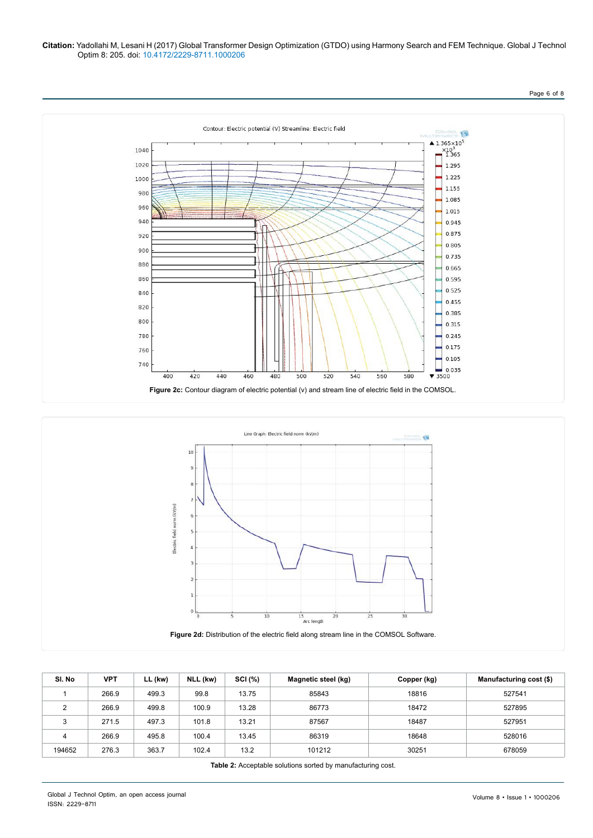Page 6 of 8





| SI. No | <b>VPT</b> | LL (kw) | NLL (kw) | <b>SCI</b> (%) | Magnetic steel (kg) | Copper (kg) | Manufacturing cost (\$) |
|--------|------------|---------|----------|----------------|---------------------|-------------|-------------------------|
|        | 266.9      | 499.3   | 99.8     | 13.75          | 85843               | 18816       | 527541                  |
|        | 266.9      | 499.8   | 100.9    | 13.28          | 86773               | 18472       | 527895                  |
|        | 271.5      | 497.3   | 101.8    | 13.21          | 87567               | 18487       | 527951                  |
| 4      | 266.9      | 495.8   | 100.4    | 13.45          | 86319               | 18648       | 528016                  |
| 194652 | 276.3      | 363.7   | 102.4    | 13.2           | 101212              | 30251       | 678059                  |

Table 2: Acceptable solutions sorted by manufacturing cost.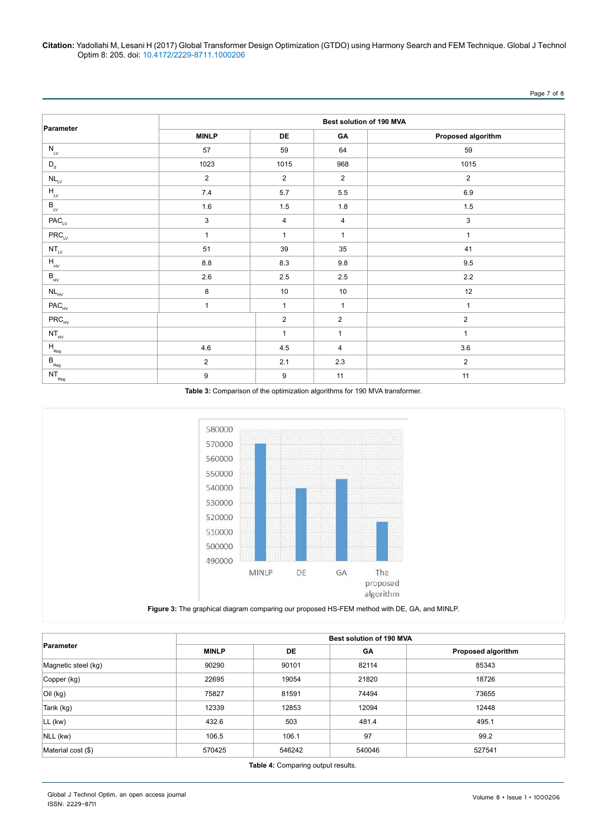| Parameter                        | Best solution of 190 MVA |                |                         |                           |  |  |
|----------------------------------|--------------------------|----------------|-------------------------|---------------------------|--|--|
|                                  | <b>MINLP</b>             | DE             | GA                      | Proposed algorithm        |  |  |
| $N_{\underline{v}v}$             | 57                       | 59             | 64                      | 59                        |  |  |
| $\mathsf{D}_{\mathrm{s}}$        | 1023                     | 1015           | 968                     | 1015                      |  |  |
| $\mathsf{NL}_{\mathsf{LV}}$      | $\mathbf{2}$             | $\mathbf{2}$   | $\overline{2}$          | $\overline{2}$            |  |  |
| $\mathsf{H}_{_{\mathsf{LV}}}$    | $7.4\,$                  | $5.7\,$        | $5.5\,$                 | $6.9\,$                   |  |  |
| $B_{\underline{u}\underline{v}}$ | 1.6                      | $1.5\,$        | $1.8\,$                 | 1.5                       |  |  |
| $\mathsf{PAC}_{\mathsf{LV}}$     | 3                        | 4              | $\overline{4}$          | $\ensuremath{\mathsf{3}}$ |  |  |
| $\mathsf{PRC}_{\mathsf{LV}}$     | $\mathbf{1}$             | $\mathbf{1}$   | $\mathbf{1}$            | $\mathbf{1}$              |  |  |
| $\mathsf{NT}_{\mathsf{LV}}$      | 51                       | 39             | 35                      | 41                        |  |  |
| $H_{HV}$                         | $8.8\,$                  | $8.3\,$        | $9.8\,$                 | 9.5                       |  |  |
| $B_{_{HV}}$                      | $2.6\,$                  | $2.5\,$        | 2.5                     | 2.2                       |  |  |
| $\mathsf{NL}_{\mathsf{HV}}$      | 8                        | 10             | 10                      | 12                        |  |  |
| $\mathsf{PAC}_{\mathsf{HV}}$     | $\mathbf{1}$             | $\mathbf{1}$   | $\mathbf{1}$            | $\mathbf{1}$              |  |  |
| $\mathsf{PRC}_{\mathsf{HV}}$     |                          | $\overline{c}$ | $\overline{c}$          | $\overline{c}$            |  |  |
| $\mathsf{NT}_{\mathsf{HV}}$      |                          | $\mathbf{1}$   | $\mathbf{1}$            | $\mathbf{1}$              |  |  |
| $H$ <sub>Reg</sub>               | $4.6\,$                  | $4.5\,$        | $\overline{\mathbf{4}}$ | $3.6\,$                   |  |  |
| $B_{\text{Reg}}$                 | $\sqrt{2}$               | $2.1$          | $2.3\,$                 | $\sqrt{2}$                |  |  |
| $NT_{Reg}$                       | $\boldsymbol{9}$         | 9              | 11                      | 11                        |  |  |

**Table 3:** Comparison of the optimization algorithms for 190 MVA transformer.



| <b>Parameter</b>    | Best solution of 190 MVA |        |        |                           |  |  |
|---------------------|--------------------------|--------|--------|---------------------------|--|--|
|                     | <b>MINLP</b>             | DE     | GA     | <b>Proposed algorithm</b> |  |  |
| Magnetic steel (kg) | 90290                    | 90101  | 82114  | 85343                     |  |  |
| Copper (kg)         | 22695                    | 19054  | 21820  | 18726                     |  |  |
| Oil (kg)            | 75827                    | 81591  | 74494  | 73655                     |  |  |
| Tank (kg)           | 12339                    | 12853  | 12094  | 12448                     |  |  |
| $LL$ (kw)           | 432.6                    | 503    | 481.4  | 495.1                     |  |  |
| $NLL$ (kw)          | 106.5                    | 106.1  | 97     | 99.2                      |  |  |
| Material cost (\$)  | 570425                   | 546242 | 540046 | 527541                    |  |  |

**Table 4:** Comparing output results.